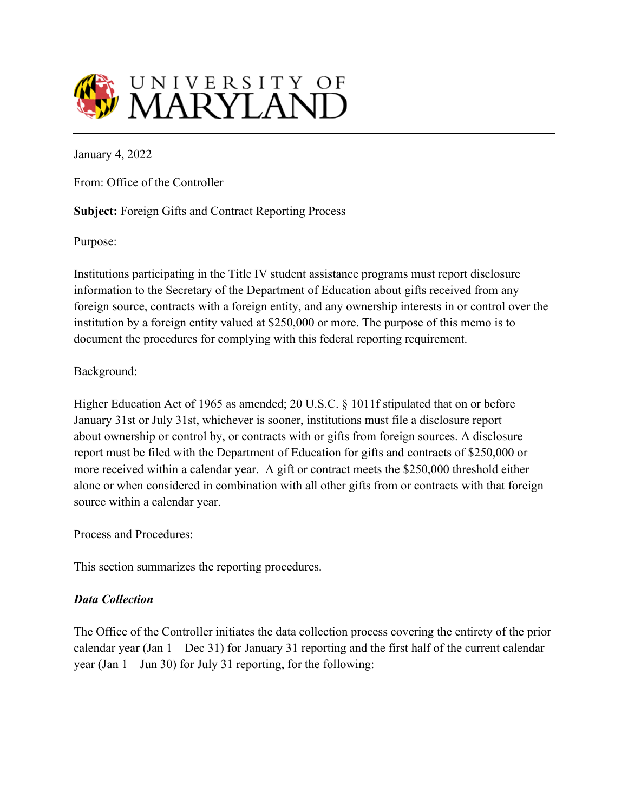

January 4, 2022

From: Office of the Controller

## **Subject:** Foreign Gifts and Contract Reporting Process

#### Purpose:

Institutions participating in the Title IV student assistance programs must report disclosure information to the Secretary of the Department of Education about gifts received from any foreign source, contracts with a foreign entity, and any ownership interests in or control over the institution by a foreign entity valued at \$250,000 or more. The purpose of this memo is to document the procedures for complying with this federal reporting requirement.

#### Background:

Higher Education Act of 1965 as amended; 20 U.S.C. § 1011f stipulated that on or before January 31st or July 31st, whichever is sooner, institutions must file a disclosure report about ownership or control by, or contracts with or gifts from foreign sources. A disclosure report must be filed with the Department of Education for gifts and contracts of \$250,000 or more received within a calendar year. A gift or contract meets the \$250,000 threshold either alone or when considered in combination with all other gifts from or contracts with that foreign source within a calendar year.

#### Process and Procedures:

This section summarizes the reporting procedures.

## *Data Collection*

The Office of the Controller initiates the data collection process covering the entirety of the prior calendar year (Jan 1 – Dec 31) for January 31 reporting and the first half of the current calendar year (Jan 1 – Jun 30) for July 31 reporting, for the following: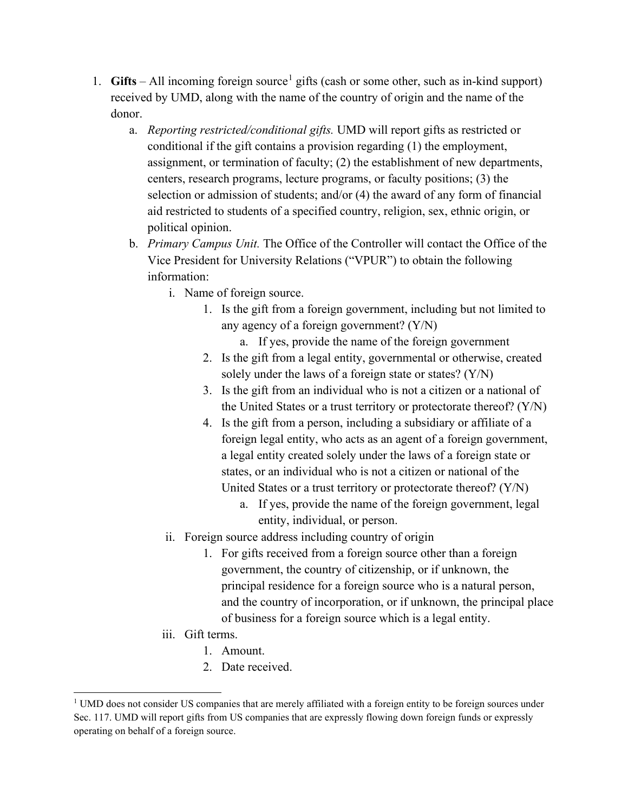- [1](#page-1-0). **Gifts** All incoming foreign source<sup>1</sup> gifts (cash or some other, such as in-kind support) received by UMD, along with the name of the country of origin and the name of the donor.
	- a. *Reporting restricted/conditional gifts.* UMD will report gifts as restricted or conditional if the gift contains a provision regarding (1) the employment, assignment, or termination of faculty; (2) the establishment of new departments, centers, research programs, lecture programs, or faculty positions; (3) the selection or admission of students; and/or (4) the award of any form of financial aid restricted to students of a specified country, religion, sex, ethnic origin, or political opinion.
	- b. *Primary Campus Unit.* The Office of the Controller will contact the Office of the Vice President for University Relations ("VPUR") to obtain the following information:
		- i. Name of foreign source.
			- 1. Is the gift from a foreign government, including but not limited to any agency of a foreign government? (Y/N)
				- a. If yes, provide the name of the foreign government
			- 2. Is the gift from a legal entity, governmental or otherwise, created solely under the laws of a foreign state or states? (Y/N)
			- 3. Is the gift from an individual who is not a citizen or a national of the United States or a trust territory or protectorate thereof? (Y/N)
			- 4. Is the gift from a person, including a subsidiary or affiliate of a foreign legal entity, who acts as an agent of a foreign government, a legal entity created solely under the laws of a foreign state or states, or an individual who is not a citizen or national of the United States or a trust territory or protectorate thereof? (Y/N)
				- a. If yes, provide the name of the foreign government, legal entity, individual, or person.
		- ii. Foreign source address including country of origin
			- 1. For gifts received from a foreign source other than a foreign government, the country of citizenship, or if unknown, the principal residence for a foreign source who is a natural person, and the country of incorporation, or if unknown, the principal place of business for a foreign source which is a legal entity.
		- iii. Gift terms.
			- 1. Amount.
			- 2. Date received.

<span id="page-1-0"></span><sup>&</sup>lt;sup>1</sup> UMD does not consider US companies that are merely affiliated with a foreign entity to be foreign sources under Sec. 117. UMD will report gifts from US companies that are expressly flowing down foreign funds or expressly operating on behalf of a foreign source.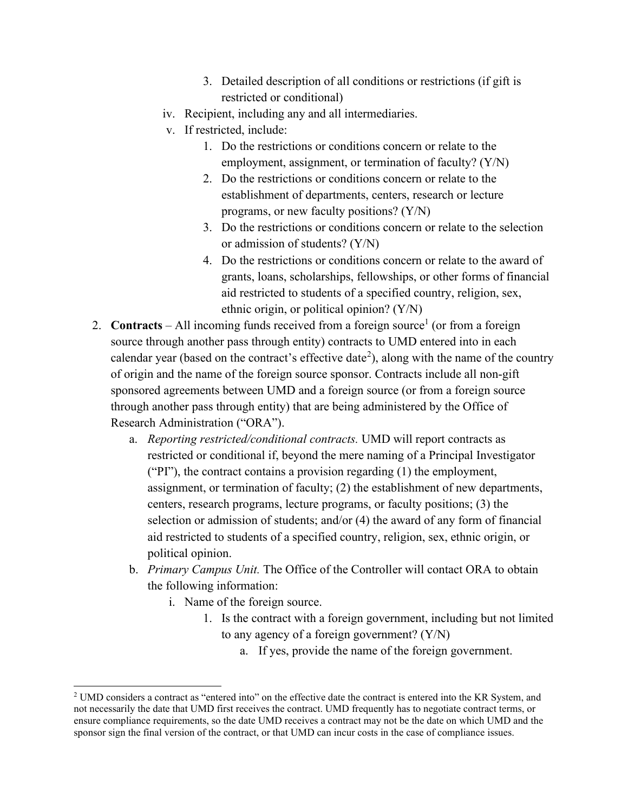- 3. Detailed description of all conditions or restrictions (if gift is restricted or conditional)
- iv. Recipient, including any and all intermediaries.
- v. If restricted, include:
	- 1. Do the restrictions or conditions concern or relate to the employment, assignment, or termination of faculty? (Y/N)
	- 2. Do the restrictions or conditions concern or relate to the establishment of departments, centers, research or lecture programs, or new faculty positions? (Y/N)
	- 3. Do the restrictions or conditions concern or relate to the selection or admission of students? (Y/N)
	- 4. Do the restrictions or conditions concern or relate to the award of grants, loans, scholarships, fellowships, or other forms of financial aid restricted to students of a specified country, religion, sex, ethnic origin, or political opinion? (Y/N)
- 2. **Contracts** All incoming funds received from a foreign source<sup>1</sup> (or from a foreign source through another pass through entity) contracts to UMD entered into in each calendar year (based on the contract's effective date<sup>[2](#page-2-0)</sup>), along with the name of the country of origin and the name of the foreign source sponsor. Contracts include all non-gift sponsored agreements between UMD and a foreign source (or from a foreign source through another pass through entity) that are being administered by the Office of Research Administration ("ORA").
	- a. *Reporting restricted/conditional contracts.* UMD will report contracts as restricted or conditional if, beyond the mere naming of a Principal Investigator ("PI"), the contract contains a provision regarding (1) the employment, assignment, or termination of faculty; (2) the establishment of new departments, centers, research programs, lecture programs, or faculty positions; (3) the selection or admission of students; and/or (4) the award of any form of financial aid restricted to students of a specified country, religion, sex, ethnic origin, or political opinion.
	- b. *Primary Campus Unit.* The Office of the Controller will contact ORA to obtain the following information:
		- i. Name of the foreign source.
			- 1. Is the contract with a foreign government, including but not limited to any agency of a foreign government? (Y/N)
				- a. If yes, provide the name of the foreign government.

<span id="page-2-0"></span><sup>2</sup> UMD considers a contract as "entered into" on the effective date the contract is entered into the KR System, and not necessarily the date that UMD first receives the contract. UMD frequently has to negotiate contract terms, or ensure compliance requirements, so the date UMD receives a contract may not be the date on which UMD and the sponsor sign the final version of the contract, or that UMD can incur costs in the case of compliance issues.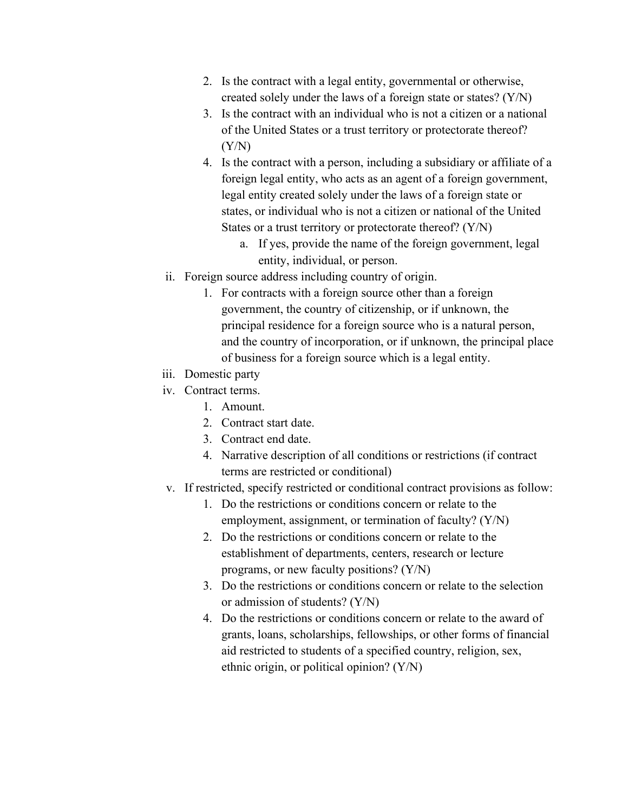- 2. Is the contract with a legal entity, governmental or otherwise, created solely under the laws of a foreign state or states? (Y/N)
- 3. Is the contract with an individual who is not a citizen or a national of the United States or a trust territory or protectorate thereof?  $(Y/N)$
- 4. Is the contract with a person, including a subsidiary or affiliate of a foreign legal entity, who acts as an agent of a foreign government, legal entity created solely under the laws of a foreign state or states, or individual who is not a citizen or national of the United States or a trust territory or protectorate thereof? (Y/N)
	- a. If yes, provide the name of the foreign government, legal entity, individual, or person.
- ii. Foreign source address including country of origin.
	- 1. For contracts with a foreign source other than a foreign government, the country of citizenship, or if unknown, the principal residence for a foreign source who is a natural person, and the country of incorporation, or if unknown, the principal place of business for a foreign source which is a legal entity.
- iii. Domestic party
- iv. Contract terms.
	- 1. Amount.
	- 2. Contract start date.
	- 3. Contract end date.
	- 4. Narrative description of all conditions or restrictions (if contract terms are restricted or conditional)
- v. If restricted, specify restricted or conditional contract provisions as follow:
	- 1. Do the restrictions or conditions concern or relate to the employment, assignment, or termination of faculty? (Y/N)
	- 2. Do the restrictions or conditions concern or relate to the establishment of departments, centers, research or lecture programs, or new faculty positions? (Y/N)
	- 3. Do the restrictions or conditions concern or relate to the selection or admission of students? (Y/N)
	- 4. Do the restrictions or conditions concern or relate to the award of grants, loans, scholarships, fellowships, or other forms of financial aid restricted to students of a specified country, religion, sex, ethnic origin, or political opinion? (Y/N)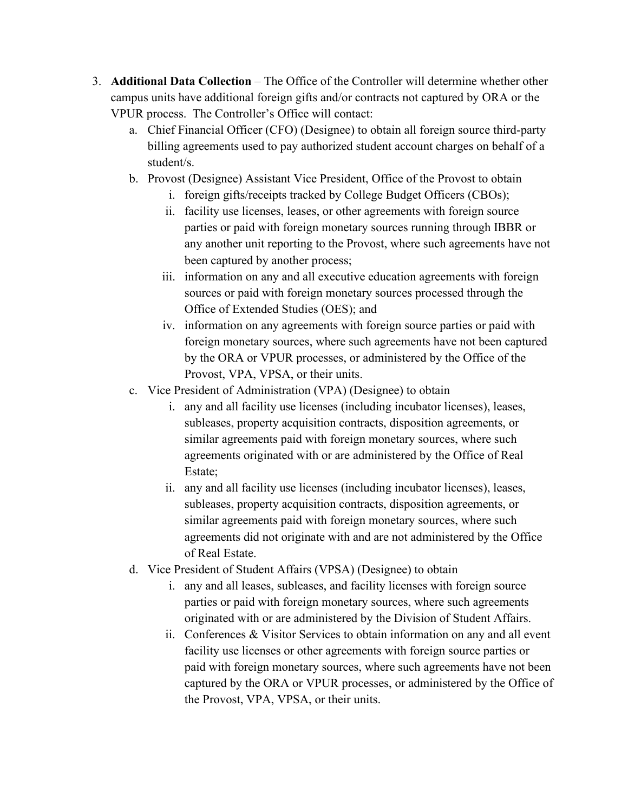- 3. **Additional Data Collection** The Office of the Controller will determine whether other campus units have additional foreign gifts and/or contracts not captured by ORA or the VPUR process. The Controller's Office will contact:
	- a. Chief Financial Officer (CFO) (Designee) to obtain all foreign source third-party billing agreements used to pay authorized student account charges on behalf of a student/s.
	- b. Provost (Designee) Assistant Vice President, Office of the Provost to obtain
		- i. foreign gifts/receipts tracked by College Budget Officers (CBOs);
		- ii. facility use licenses, leases, or other agreements with foreign source parties or paid with foreign monetary sources running through IBBR or any another unit reporting to the Provost, where such agreements have not been captured by another process;
		- iii. information on any and all executive education agreements with foreign sources or paid with foreign monetary sources processed through the Office of Extended Studies (OES); and
		- iv. information on any agreements with foreign source parties or paid with foreign monetary sources, where such agreements have not been captured by the ORA or VPUR processes, or administered by the Office of the Provost, VPA, VPSA, or their units.
	- c. Vice President of Administration (VPA) (Designee) to obtain
		- i. any and all facility use licenses (including incubator licenses), leases, subleases, property acquisition contracts, disposition agreements, or similar agreements paid with foreign monetary sources, where such agreements originated with or are administered by the Office of Real Estate;
		- ii. any and all facility use licenses (including incubator licenses), leases, subleases, property acquisition contracts, disposition agreements, or similar agreements paid with foreign monetary sources, where such agreements did not originate with and are not administered by the Office of Real Estate.
	- d. Vice President of Student Affairs (VPSA) (Designee) to obtain
		- i. any and all leases, subleases, and facility licenses with foreign source parties or paid with foreign monetary sources, where such agreements originated with or are administered by the Division of Student Affairs.
		- ii. Conferences & Visitor Services to obtain information on any and all event facility use licenses or other agreements with foreign source parties or paid with foreign monetary sources, where such agreements have not been captured by the ORA or VPUR processes, or administered by the Office of the Provost, VPA, VPSA, or their units.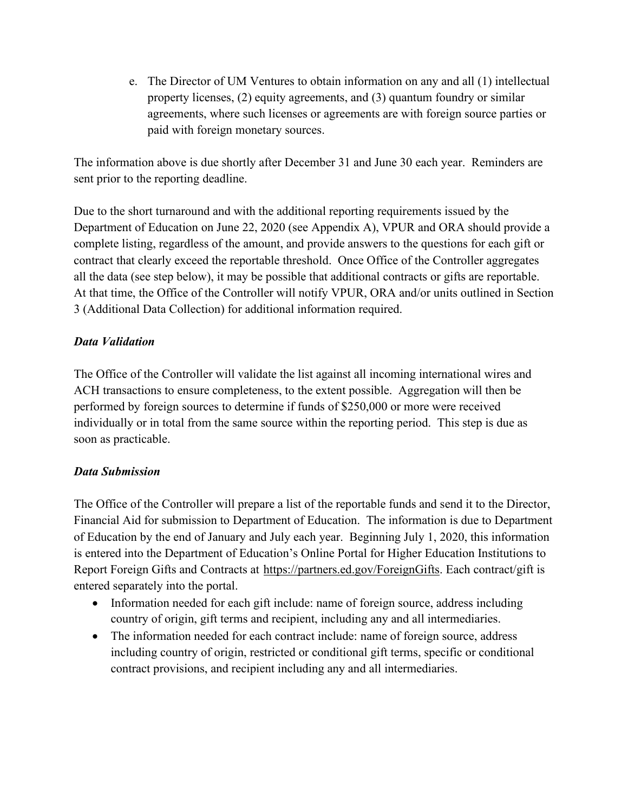e. The Director of UM Ventures to obtain information on any and all (1) intellectual property licenses, (2) equity agreements, and (3) quantum foundry or similar agreements, where such licenses or agreements are with foreign source parties or paid with foreign monetary sources.

The information above is due shortly after December 31 and June 30 each year. Reminders are sent prior to the reporting deadline.

Due to the short turnaround and with the additional reporting requirements issued by the Department of Education on June 22, 2020 (see Appendix A), VPUR and ORA should provide a complete listing, regardless of the amount, and provide answers to the questions for each gift or contract that clearly exceed the reportable threshold. Once Office of the Controller aggregates all the data (see step below), it may be possible that additional contracts or gifts are reportable. At that time, the Office of the Controller will notify VPUR, ORA and/or units outlined in Section 3 (Additional Data Collection) for additional information required.

# *Data Validation*

The Office of the Controller will validate the list against all incoming international wires and ACH transactions to ensure completeness, to the extent possible. Aggregation will then be performed by foreign sources to determine if funds of \$250,000 or more were received individually or in total from the same source within the reporting period. This step is due as soon as practicable.

# *Data Submission*

The Office of the Controller will prepare a list of the reportable funds and send it to the Director, Financial Aid for submission to Department of Education. The information is due to Department of Education by the end of January and July each year. Beginning July 1, 2020, this information is entered into the Department of Education's Online Portal for Higher Education Institutions to Report Foreign Gifts and Contracts at [https://partners.ed.gov/ForeignGifts.](https://partners.ed.gov/ForeignGifts) Each contract/gift is entered separately into the portal.

- Information needed for each gift include: name of foreign source, address including country of origin, gift terms and recipient, including any and all intermediaries.
- The information needed for each contract include: name of foreign source, address including country of origin, restricted or conditional gift terms, specific or conditional contract provisions, and recipient including any and all intermediaries.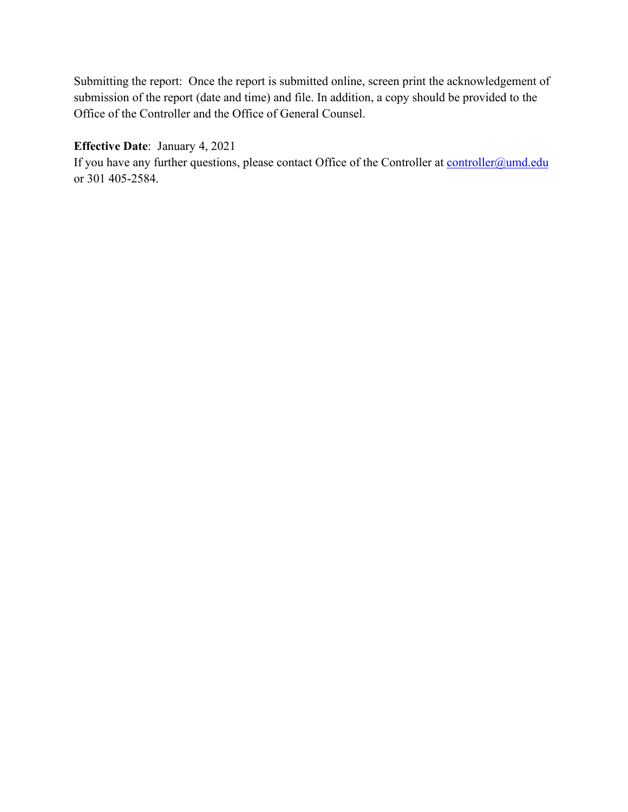Submitting the report: Once the report is submitted online, screen print the acknowledgement of submission of the report (date and time) and file. In addition, a copy should be provided to the Office of the Controller and the Office of General Counsel.

## **Effective Date**: January 4, 2021

If you have any further questions, please contact Office of the Controller at [controller@umd.edu](mailto:controller@umd.edu) or 301 405-2584.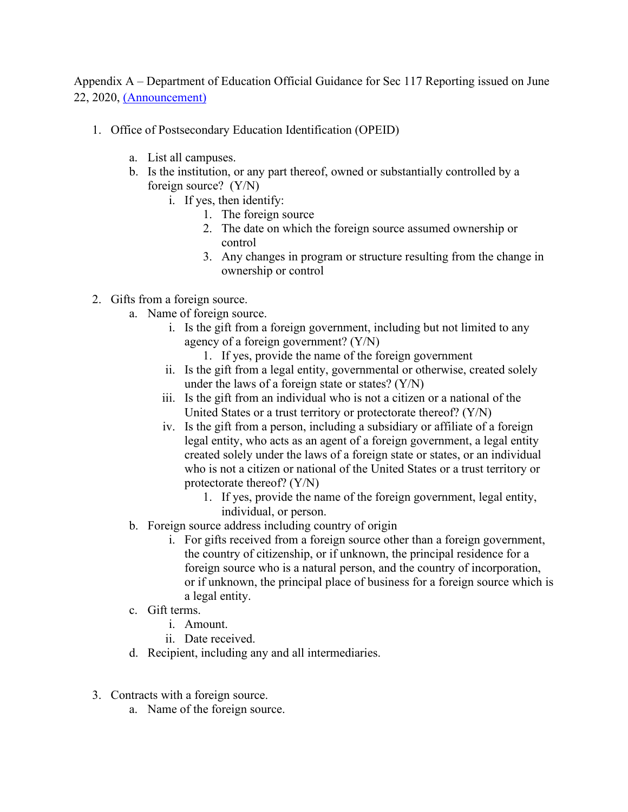Appendix A – Department of Education Official Guidance for Sec 117 Reporting issued on June 22, 2020, [\(Announcement\)](https://ifap.ed.gov/electronic-announcements/062220ReminderRprtOwnerContrlContrctsGiftsForeignSrc)

- 1. Office of Postsecondary Education Identification (OPEID)
	- a. List all campuses.
	- b. Is the institution, or any part thereof, owned or substantially controlled by a foreign source? (Y/N)
		- i. If yes, then identify:
			- 1. The foreign source
			- 2. The date on which the foreign source assumed ownership or control
			- 3. Any changes in program or structure resulting from the change in ownership or control
- 2. Gifts from a foreign source.
	- a. Name of foreign source.
		- i. Is the gift from a foreign government, including but not limited to any agency of a foreign government? (Y/N)
			- 1. If yes, provide the name of the foreign government
		- ii. Is the gift from a legal entity, governmental or otherwise, created solely under the laws of a foreign state or states?  $(Y/N)$
		- iii. Is the gift from an individual who is not a citizen or a national of the United States or a trust territory or protectorate thereof? (Y/N)
		- iv. Is the gift from a person, including a subsidiary or affiliate of a foreign legal entity, who acts as an agent of a foreign government, a legal entity created solely under the laws of a foreign state or states, or an individual who is not a citizen or national of the United States or a trust territory or protectorate thereof? (Y/N)
			- 1. If yes, provide the name of the foreign government, legal entity, individual, or person.
	- b. Foreign source address including country of origin
		- i. For gifts received from a foreign source other than a foreign government, the country of citizenship, or if unknown, the principal residence for a foreign source who is a natural person, and the country of incorporation, or if unknown, the principal place of business for a foreign source which is a legal entity.
	- c. Gift terms.
		- i. Amount.
		- ii. Date received.
	- d. Recipient, including any and all intermediaries.
- 3. Contracts with a foreign source.
	- a. Name of the foreign source.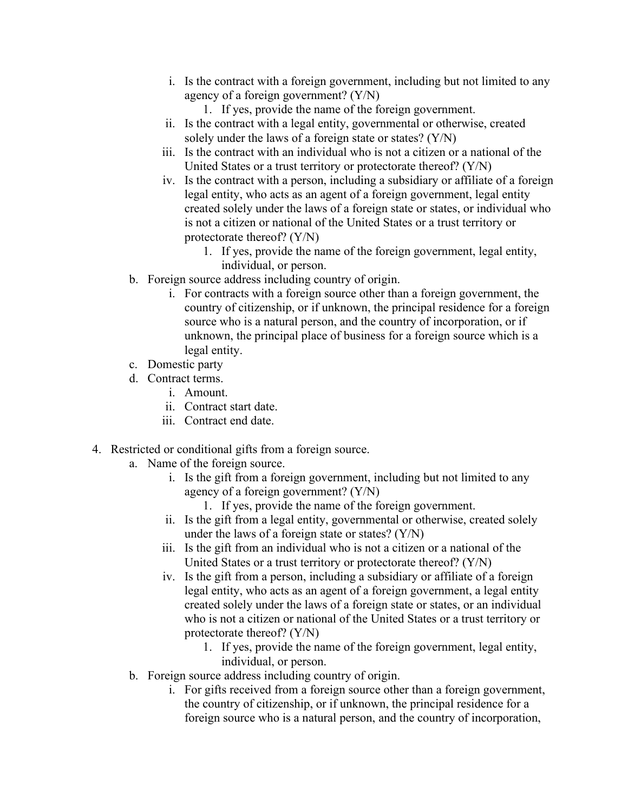- i. Is the contract with a foreign government, including but not limited to any agency of a foreign government? (Y/N)
	- 1. If yes, provide the name of the foreign government.
- ii. Is the contract with a legal entity, governmental or otherwise, created solely under the laws of a foreign state or states? (Y/N)
- iii. Is the contract with an individual who is not a citizen or a national of the United States or a trust territory or protectorate thereof? (Y/N)
- iv. Is the contract with a person, including a subsidiary or affiliate of a foreign legal entity, who acts as an agent of a foreign government, legal entity created solely under the laws of a foreign state or states, or individual who is not a citizen or national of the United States or a trust territory or protectorate thereof? (Y/N)
	- 1. If yes, provide the name of the foreign government, legal entity, individual, or person.
- b. Foreign source address including country of origin.
	- i. For contracts with a foreign source other than a foreign government, the country of citizenship, or if unknown, the principal residence for a foreign source who is a natural person, and the country of incorporation, or if unknown, the principal place of business for a foreign source which is a legal entity.
- c. Domestic party
- d. Contract terms.
	- i. Amount.
	- ii. Contract start date.
	- iii. Contract end date.
- 4. Restricted or conditional gifts from a foreign source.
	- a. Name of the foreign source.
		- i. Is the gift from a foreign government, including but not limited to any agency of a foreign government? (Y/N)
			- 1. If yes, provide the name of the foreign government.
		- ii. Is the gift from a legal entity, governmental or otherwise, created solely under the laws of a foreign state or states? (Y/N)
		- iii. Is the gift from an individual who is not a citizen or a national of the United States or a trust territory or protectorate thereof? (Y/N)
		- iv. Is the gift from a person, including a subsidiary or affiliate of a foreign legal entity, who acts as an agent of a foreign government, a legal entity created solely under the laws of a foreign state or states, or an individual who is not a citizen or national of the United States or a trust territory or protectorate thereof? (Y/N)
			- 1. If yes, provide the name of the foreign government, legal entity, individual, or person.
	- b. Foreign source address including country of origin.
		- i. For gifts received from a foreign source other than a foreign government, the country of citizenship, or if unknown, the principal residence for a foreign source who is a natural person, and the country of incorporation,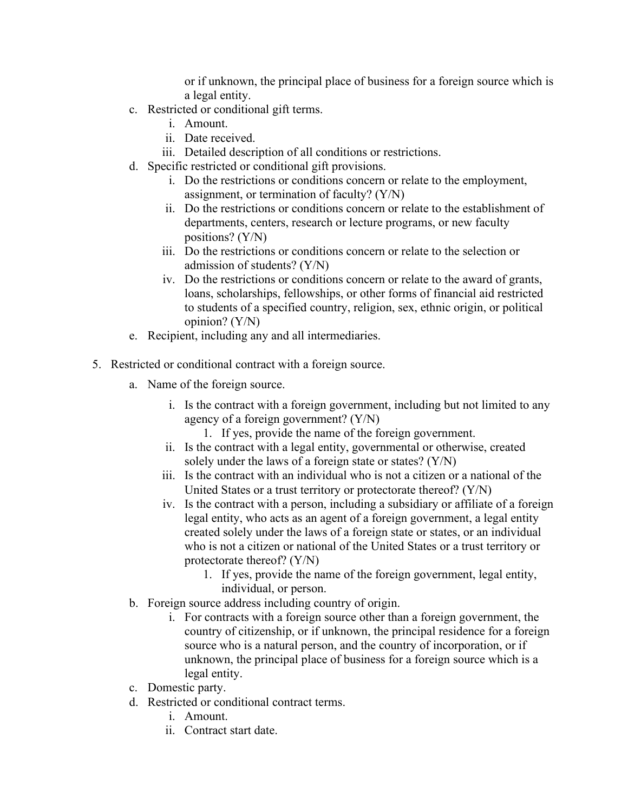or if unknown, the principal place of business for a foreign source which is a legal entity.

- c. Restricted or conditional gift terms.
	- i. Amount.
	- ii. Date received.
	- iii. Detailed description of all conditions or restrictions.
- d. Specific restricted or conditional gift provisions.
	- i. Do the restrictions or conditions concern or relate to the employment, assignment, or termination of faculty? (Y/N)
	- ii. Do the restrictions or conditions concern or relate to the establishment of departments, centers, research or lecture programs, or new faculty positions? (Y/N)
	- iii. Do the restrictions or conditions concern or relate to the selection or admission of students? (Y/N)
	- iv. Do the restrictions or conditions concern or relate to the award of grants, loans, scholarships, fellowships, or other forms of financial aid restricted to students of a specified country, religion, sex, ethnic origin, or political opinion? (Y/N)
- e. Recipient, including any and all intermediaries.
- 5. Restricted or conditional contract with a foreign source.
	- a. Name of the foreign source.
		- i. Is the contract with a foreign government, including but not limited to any agency of a foreign government? (Y/N)
			- 1. If yes, provide the name of the foreign government.
		- ii. Is the contract with a legal entity, governmental or otherwise, created solely under the laws of a foreign state or states? (Y/N)
		- iii. Is the contract with an individual who is not a citizen or a national of the United States or a trust territory or protectorate thereof? (Y/N)
		- iv. Is the contract with a person, including a subsidiary or affiliate of a foreign legal entity, who acts as an agent of a foreign government, a legal entity created solely under the laws of a foreign state or states, or an individual who is not a citizen or national of the United States or a trust territory or protectorate thereof? (Y/N)
			- 1. If yes, provide the name of the foreign government, legal entity, individual, or person.
	- b. Foreign source address including country of origin.
		- i. For contracts with a foreign source other than a foreign government, the country of citizenship, or if unknown, the principal residence for a foreign source who is a natural person, and the country of incorporation, or if unknown, the principal place of business for a foreign source which is a legal entity.
	- c. Domestic party.
	- d. Restricted or conditional contract terms.
		- i. Amount.
		- ii. Contract start date.